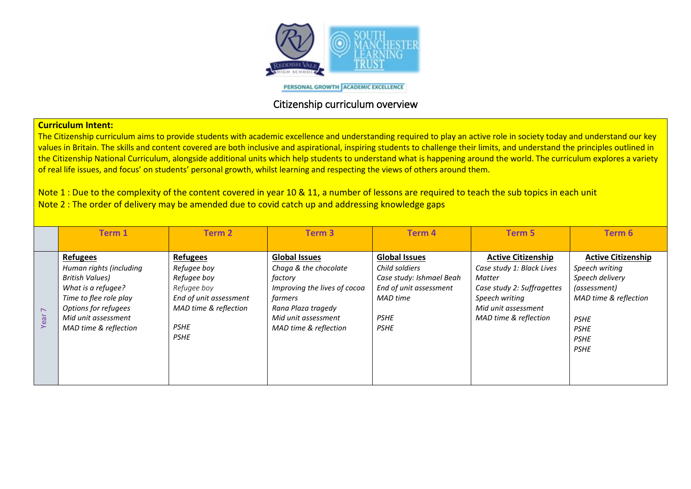

PERSONAL GROWTH ACADEMIC EXCELLENCE

## Citizenship curriculum overview

## **Curriculum Intent:**

The Citizenship curriculum aims to provide students with academic excellence and understanding required to play an active role in society today and understand our key values in Britain. The skills and content covered are both inclusive and aspirational, inspiring students to challenge their limits, and understand the principles outlined in the Citizenship National Curriculum, alongside additional units which help students to understand what is happening around the world. The curriculum explores a variety of real life issues, and focus' on students' personal growth, whilst learning and respecting the views of others around them.

Note 1 : Due to the complexity of the content covered in year 10 & 11, a number of lessons are required to teach the sub topics in each unit Note 2 : The order of delivery may be amended due to covid catch up and addressing knowledge gaps

|                  | Term 1                                                                              | <b>Term 2</b>                                                | Term <sub>3</sub>                                                                        | <b>Term 4</b>                                                                                | <b>Term 5</b>                                                                                  | Term 6                                                                         |
|------------------|-------------------------------------------------------------------------------------|--------------------------------------------------------------|------------------------------------------------------------------------------------------|----------------------------------------------------------------------------------------------|------------------------------------------------------------------------------------------------|--------------------------------------------------------------------------------|
|                  |                                                                                     |                                                              |                                                                                          |                                                                                              |                                                                                                |                                                                                |
|                  | <b>Refugees</b><br>Human rights (including<br>British Values)<br>What is a refugee? | <b>Refugees</b><br>Refugee boy<br>Refugee boy<br>Refugee boy | <b>Global Issues</b><br>Chaga & the chocolate<br>factory<br>Improving the lives of cocoa | <b>Global Issues</b><br>Child soldiers<br>Case study: Ishmael Beah<br>End of unit assessment | <b>Active Citizenship</b><br>Case study 1: Black Lives<br>Matter<br>Case study 2: Suffragettes | <b>Active Citizenship</b><br>Speech writing<br>Speech delivery<br>(assessment) |
| $\triangleright$ | Time to flee role play<br>Options for refugees<br>Mid unit assessment               | End of unit assessment<br>MAD time & reflection              | farmers<br>Rana Plaza tragedy<br>Mid unit assessment                                     | MAD time<br><b>PSHE</b>                                                                      | Speech writing<br>Mid unit assessment<br>MAD time & reflection                                 | MAD time & reflection<br><b>PSHE</b>                                           |
| Year             | MAD time & reflection                                                               | <b>PSHE</b><br><b>PSHE</b>                                   | MAD time & reflection                                                                    | <b>PSHE</b>                                                                                  |                                                                                                | <b>PSHE</b><br><b>PSHE</b><br><b>PSHE</b>                                      |
|                  |                                                                                     |                                                              |                                                                                          |                                                                                              |                                                                                                |                                                                                |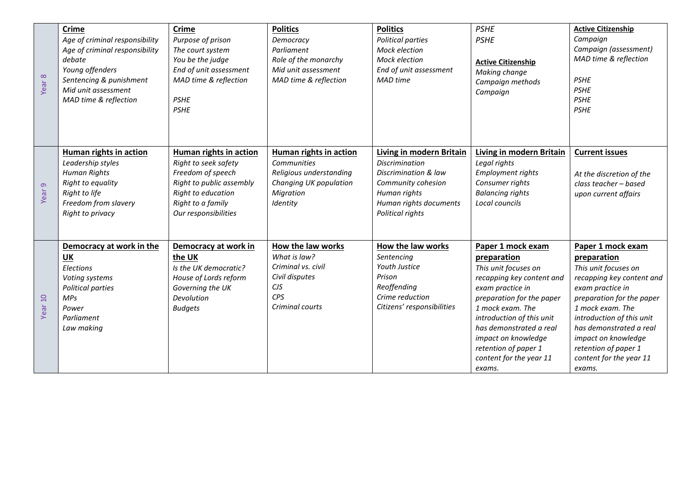| Year 8            | <b>Crime</b><br>Age of criminal responsibility<br>Age of criminal responsibility<br>debate<br>Young offenders<br>Sentencing & punishment<br>Mid unit assessment<br>MAD time & reflection | <b>Crime</b><br>Purpose of prison<br>The court system<br>You be the judge<br>End of unit assessment<br>MAD time & reflection<br><b>PSHE</b><br><b>PSHE</b>         | <b>Politics</b><br>Democracy<br>Parliament<br>Role of the monarchy<br>Mid unit assessment<br>MAD time & reflection         | <b>Politics</b><br>Political parties<br>Mock election<br>Mock election<br>End of unit assessment<br><b>MAD</b> time                                           | <b>PSHE</b><br><b>PSHE</b><br><b>Active Citizenship</b><br>Making change<br>Campaign methods<br>Campaign                                                                                                                                                                                               | <b>Active Citizenship</b><br>Campaign<br>Campaign (assessment)<br>MAD time & reflection<br><b>PSHE</b><br><b>PSHE</b><br><b>PSHE</b><br><b>PSHE</b>                                                                                                                                                    |
|-------------------|------------------------------------------------------------------------------------------------------------------------------------------------------------------------------------------|--------------------------------------------------------------------------------------------------------------------------------------------------------------------|----------------------------------------------------------------------------------------------------------------------------|---------------------------------------------------------------------------------------------------------------------------------------------------------------|--------------------------------------------------------------------------------------------------------------------------------------------------------------------------------------------------------------------------------------------------------------------------------------------------------|--------------------------------------------------------------------------------------------------------------------------------------------------------------------------------------------------------------------------------------------------------------------------------------------------------|
| $\sigma$<br>Year: | Human rights in action<br>Leadership styles<br><b>Human Rights</b><br>Right to equality<br>Right to life<br>Freedom from slavery<br>Right to privacy                                     | Human rights in action<br>Right to seek safety<br>Freedom of speech<br>Right to public assembly<br>Right to education<br>Right to a family<br>Our responsibilities | <b>Human rights in action</b><br>Communities<br>Religious understanding<br>Changing UK population<br>Migration<br>Identity | Living in modern Britain<br><b>Discrimination</b><br>Discrimination & law<br>Community cohesion<br>Human rights<br>Human rights documents<br>Political rights | Living in modern Britain<br>Legal rights<br><b>Employment rights</b><br>Consumer rights<br><b>Balancing rights</b><br>Local councils                                                                                                                                                                   | <b>Current issues</b><br>At the discretion of the<br>class teacher - based<br>upon current affairs                                                                                                                                                                                                     |
| Year 10           | Democracy at work in the<br><b>UK</b><br>Elections<br>Voting systems<br>Political parties<br>MPS<br>Power<br>Parliament<br>Law making                                                    | Democracy at work in<br>the UK<br>Is the UK democratic?<br>House of Lords reform<br>Governing the UK<br>Devolution<br><b>Budgets</b>                               | How the law works<br>What is law?<br>Criminal vs. civil<br>Civil disputes<br><b>CJS</b><br>CPS<br>Criminal courts          | How the law works<br>Sentencing<br>Youth Justice<br>Prison<br>Reoffending<br>Crime reduction<br>Citizens' responsibilities                                    | Paper 1 mock exam<br>preparation<br>This unit focuses on<br>recapping key content and<br>exam practice in<br>preparation for the paper<br>1 mock exam. The<br>introduction of this unit<br>has demonstrated a real<br>impact on knowledge<br>retention of paper 1<br>content for the year 11<br>exams. | Paper 1 mock exam<br>preparation<br>This unit focuses on<br>recapping key content and<br>exam practice in<br>preparation for the paper<br>1 mock exam. The<br>introduction of this unit<br>has demonstrated a real<br>impact on knowledge<br>retention of paper 1<br>content for the year 11<br>exams. |